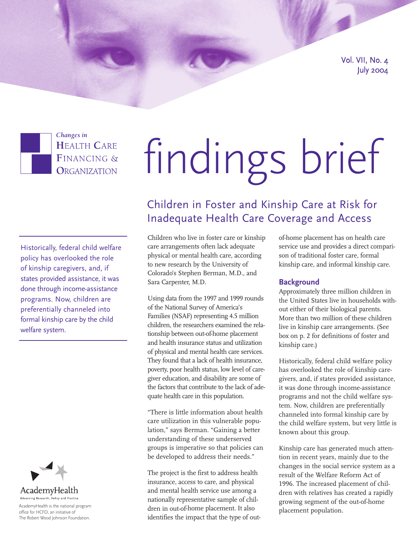Vol. VII, No. 4 July 2004



*Changes in* **HEALTH CARE** FINANCING & ORGANIZATION

# findings brief

Historically, federal child welfare policy has overlooked the role of kinship caregivers, and, if states provided assistance, it was done through income-assistance programs. Now, children are preferentially channeled into formal kinship care by the child welfare system.



Advancing Research, Policy and Practice

AcademyHealth is the national program office for HCFO, an initiative of The Robert Wood Johnson Foundation.

## Children in Foster and Kinship Care at Risk for Inadequate Health Care Coverage and Access

Children who live in foster care or kinship care arrangements often lack adequate physical or mental health care, according to new research by the University of Colorado's Stephen Berman, M.D., and Sara Carpenter, M.D.

Using data from the 1997 and 1999 rounds of the National Survey of America's Families (NSAF) representing 4.5 million children, the researchers examined the relationship between out-of-home placement and health insurance status and utilization of physical and mental health care services. They found that a lack of health insurance, poverty, poor health status, low level of caregiver education, and disability are some of the factors that contribute to the lack of adequate health care in this population.

"There is little information about health care utilization in this vulnerable population," says Berman. "Gaining a better understanding of these underserved groups is imperative so that policies can be developed to address their needs."

The project is the first to address health insurance, access to care, and physical and mental health service use among a nationally representative sample of children in out-of-home placement. It also identifies the impact that the type of outof-home placement has on health care service use and provides a direct comparison of traditional foster care, formal kinship care, and informal kinship care.

### **Background**

Approximately three million children in the United States live in households without either of their biological parents. More than two million of these children live in kinship care arrangements. (See box on p. 2 for definitions of foster and kinship care.)

Historically, federal child welfare policy has overlooked the role of kinship caregivers, and, if states provided assistance, it was done through income-assistance programs and not the child welfare system. Now, children are preferentially channeled into formal kinship care by the child welfare system, but very little is known about this group.

Kinship care has generated much attention in recent years, mainly due to the changes in the social service system as a result of the Welfare Reform Act of 1996. The increased placement of children with relatives has created a rapidly growing segment of the out-of-home placement population.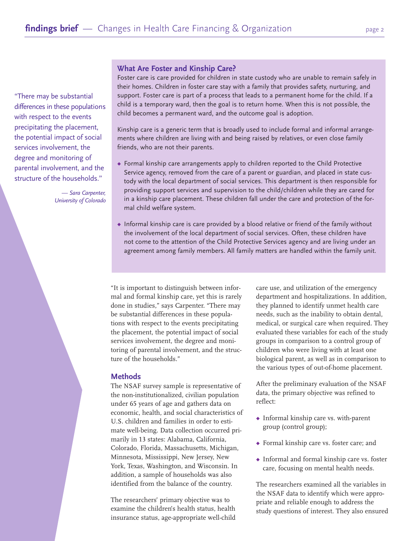"There may be substantial differences in these populations with respect to the events precipitating the placement, the potential impact of social services involvement, the degree and monitoring of parental involvement, and the structure of the households."

> — *Sara Carpenter, University of Colorado*

#### **What Are Foster and Kinship Care?**

Foster care is care provided for children in state custody who are unable to remain safely in their homes. Children in foster care stay with a family that provides safety, nurturing, and support. Foster care is part of a process that leads to a permanent home for the child. If a child is a temporary ward, then the goal is to return home. When this is not possible, the child becomes a permanent ward, and the outcome goal is adoption.

Kinship care is a generic term that is broadly used to include formal and informal arrangements where children are living with and being raised by relatives, or even close family friends, who are not their parents.

- ◆ Formal kinship care arrangements apply to children reported to the Child Protective Service agency, removed from the care of a parent or guardian, and placed in state custody with the local department of social services. This department is then responsible for providing support services and supervision to the child/children while they are cared for in a kinship care placement. These children fall under the care and protection of the formal child welfare system.
- ◆ Informal kinship care is care provided by a blood relative or friend of the family without the involvement of the local department of social services. Often, these children have not come to the attention of the Child Protective Services agency and are living under an agreement among family members. All family matters are handled within the family unit.

"It is important to distinguish between informal and formal kinship care, yet this is rarely done in studies," says Carpenter. "There may be substantial differences in these populations with respect to the events precipitating the placement, the potential impact of social services involvement, the degree and monitoring of parental involvement, and the structure of the households."

#### **Methods**

The NSAF survey sample is representative of the non-institutionalized, civilian population under 65 years of age and gathers data on economic, health, and social characteristics of U.S. children and families in order to estimate well-being. Data collection occurred primarily in 13 states: Alabama, California, Colorado, Florida, Massachusetts, Michigan, Minnesota, Mississippi, New Jersey, New York, Texas, Washington, and Wisconsin. In addition, a sample of households was also identified from the balance of the country.

The researchers' primary objective was to examine the children's health status, health insurance status, age-appropriate well-child care use, and utilization of the emergency department and hospitalizations. In addition, they planned to identify unmet health care needs, such as the inability to obtain dental, medical, or surgical care when required. They evaluated these variables for each of the study groups in comparison to a control group of children who were living with at least one biological parent, as well as in comparison to the various types of out-of-home placement.

After the preliminary evaluation of the NSAF data, the primary objective was refined to reflect:

- ◆ Informal kinship care vs. with-parent group (control group);
- ◆ Formal kinship care vs. foster care; and
- ◆ Informal and formal kinship care vs. foster care, focusing on mental health needs.

The researchers examined all the variables in the NSAF data to identify which were appropriate and reliable enough to address the study questions of interest. They also ensured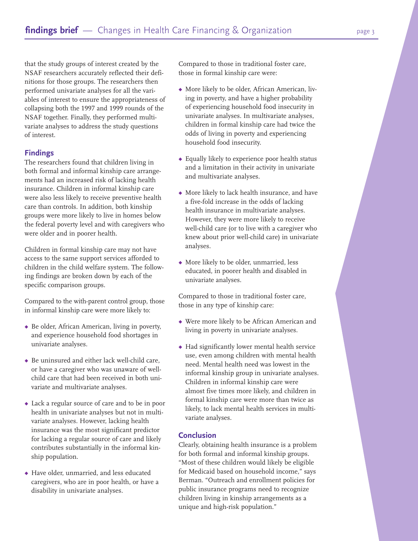that the study groups of interest created by the NSAF researchers accurately reflected their definitions for those groups. The researchers then performed univariate analyses for all the variables of interest to ensure the appropriateness of collapsing both the 1997 and 1999 rounds of the NSAF together. Finally, they performed multivariate analyses to address the study questions of interest.

#### **Findings**

The researchers found that children living in both formal and informal kinship care arrangements had an increased risk of lacking health insurance. Children in informal kinship care were also less likely to receive preventive health care than controls. In addition, both kinship groups were more likely to live in homes below the federal poverty level and with caregivers who were older and in poorer health.

Children in formal kinship care may not have access to the same support services afforded to children in the child welfare system. The following findings are broken down by each of the specific comparison groups.

Compared to the with-parent control group, those in informal kinship care were more likely to:

- ◆ Be older, African American, living in poverty, and experience household food shortages in univariate analyses.
- ◆ Be uninsured and either lack well-child care, or have a caregiver who was unaware of wellchild care that had been received in both univariate and multivariate analyses.
- ◆ Lack a regular source of care and to be in poor health in univariate analyses but not in multivariate analyses. However, lacking health insurance was the most significant predictor for lacking a regular source of care and likely contributes substantially in the informal kinship population.
- ◆ Have older, unmarried, and less educated caregivers, who are in poor health, or have a disability in univariate analyses.

Compared to those in traditional foster care, those in formal kinship care were:

- ◆ More likely to be older, African American, living in poverty, and have a higher probability of experiencing household food insecurity in univariate analyses. In multivariate analyses, children in formal kinship care had twice the odds of living in poverty and experiencing household food insecurity.
- ◆ Equally likely to experience poor health status and a limitation in their activity in univariate and multivariate analyses.
- ◆ More likely to lack health insurance, and have a five-fold increase in the odds of lacking health insurance in multivariate analyses. However, they were more likely to receive well-child care (or to live with a caregiver who knew about prior well-child care) in univariate analyses.
- ◆ More likely to be older, unmarried, less educated, in poorer health and disabled in univariate analyses.

Compared to those in traditional foster care, those in any type of kinship care:

- ◆ Were more likely to be African American and living in poverty in univariate analyses.
- ◆ Had significantly lower mental health service use, even among children with mental health need. Mental health need was lowest in the informal kinship group in univariate analyses. Children in informal kinship care were almost five times more likely, and children in formal kinship care were more than twice as likely, to lack mental health services in multivariate analyses.

#### **Conclusion**

Clearly, obtaining health insurance is a problem for both formal and informal kinship groups. "Most of these children would likely be eligible for Medicaid based on household income," says Berman. "Outreach and enrollment policies for public insurance programs need to recognize children living in kinship arrangements as a unique and high-risk population."